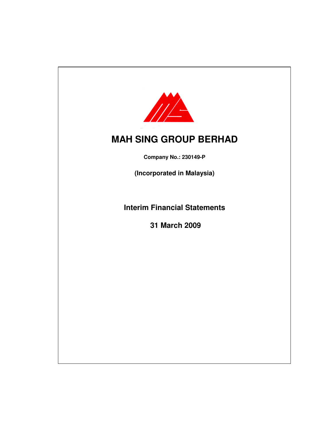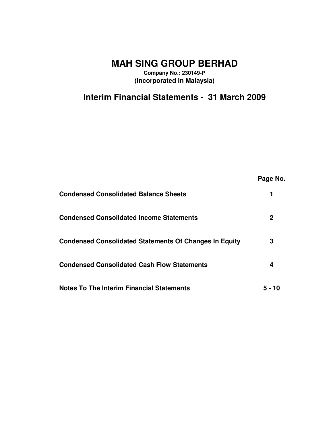**MAH SING GROUP BERHAD**

**Company No.: 230149-P (Incorporated in Malaysia)**

**Interim Financial Statements - 31 March 2009**

|                                                               | Page No. |
|---------------------------------------------------------------|----------|
| <b>Condensed Consolidated Balance Sheets</b>                  |          |
| <b>Condensed Consolidated Income Statements</b>               | 2        |
| <b>Condensed Consolidated Statements Of Changes In Equity</b> | 3        |
| <b>Condensed Consolidated Cash Flow Statements</b>            | 4        |
| <b>Notes To The Interim Financial Statements</b>              | 5 - 10   |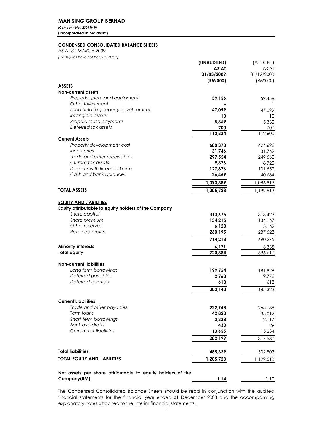### MAH SING GROUP BERHAD

(Company No.: 230149-P) (Incorporated in Malaysia)

### CONDENSED CONSOLIDATED BALANCE SHEETS

AS AT 31 MARCH 2009

(The figures have not been audited)

|                                                                           | (UNAUDITED) | (AUDITED)  |
|---------------------------------------------------------------------------|-------------|------------|
|                                                                           | AS AT       | AS AT      |
|                                                                           | 31/03/2009  | 31/12/2008 |
|                                                                           | (RM'000)    | (RM'000)   |
| <b>ASSETS</b>                                                             |             |            |
| <b>Non-current assets</b>                                                 |             |            |
| Property, plant and equipment                                             | 59,156      | 59,458     |
| Other Investment                                                          |             |            |
| Land held for property development                                        | 47,099      | 47,099     |
| Intangible assets                                                         | 10          | 12         |
| Prepaid lease payments                                                    | 5,369       | 5,330      |
| Deferred tax assets                                                       | 700         | 700        |
|                                                                           | 112,334     | 112,600    |
| <b>Current Assets</b>                                                     |             |            |
| Property development cost                                                 | 600,378     | 624,626    |
| Inventories                                                               | 31,746      | 31,769     |
| Trade and other receivables                                               | 297,554     | 249,562    |
| Current tax assets                                                        | 9,376       | 8,720      |
| Deposits with licensed banks                                              | 127,876     | 131,552    |
| Cash and bank balances                                                    | 26,459      | 40,684     |
|                                                                           | 1,093,389   | 1,086,913  |
| <b>TOTAL ASSETS</b>                                                       | 1,205,723   | 1,199,513  |
|                                                                           |             |            |
| <b>EQUITY AND LIABILITIES</b>                                             |             |            |
| Equity attributable to equity holders of the Company                      |             |            |
| Share capital                                                             | 313,675     | 313,423    |
| Share premium                                                             | 134,215     | 134,167    |
| Other reserves                                                            | 6,128       | 5,162      |
| <b>Retained profits</b>                                                   | 260,195     | 237,523    |
|                                                                           | 714,213     | 690,275    |
| <b>Minority interests</b>                                                 | 6,171       | 6,335      |
| <b>Total equity</b>                                                       | 720,384     | 696,610    |
|                                                                           |             |            |
| <b>Non-current liabilities</b>                                            |             |            |
| Long term borrowings                                                      | 199,754     | 181,929    |
| Deferred payables                                                         | 2,768       | 2,776      |
| Deferred taxation                                                         | 618         | 618        |
|                                                                           | 203,140     | 185,323    |
|                                                                           |             |            |
| <b>Current Liabilities</b>                                                |             |            |
| Trade and other payables                                                  | 222,948     | 265,188    |
| Term Ioans                                                                | 42,820      | 35,012     |
| Short term borrowings                                                     | 2,338       | 2,117      |
| <b>Bank overdrafts</b>                                                    | 438         | 29         |
| Current tax liabilities                                                   | 13,655      | 15,234     |
|                                                                           | 282,199     | 317,580    |
|                                                                           |             |            |
| <b>Total liabilities</b>                                                  | 485,339     | 502,903    |
| <b>TOTAL EQUITY AND LIABILITIES</b>                                       | 1,205,723   | 1,199,513  |
|                                                                           |             |            |
|                                                                           |             |            |
| Net assets per share attributable to equity holders of the<br>Company(RM) | 1.14        |            |
|                                                                           |             | 1.10       |

The Condensed Consolidated Balance Sheets should be read in conjunction with the audited financial statements for the financial year ended 31 December 2008 and the accompanying explanatory notes attached to the interim financial statements.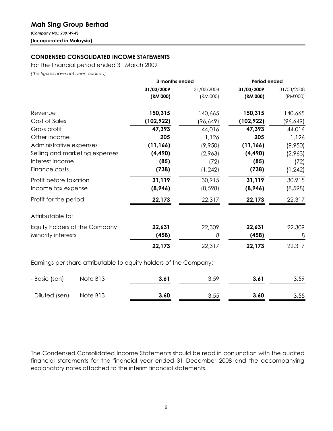# Mah Sing Group Berhad

(Company No.: 230149-P) (Incorporated in Malaysia)

## CONDENSED CONSOLIDATED INCOME STATEMENTS

For the financial period ended 31 March 2009

(The figures have not been audited)

|                                                                   | 3 months ended |            | <b>Period ended</b> |            |  |
|-------------------------------------------------------------------|----------------|------------|---------------------|------------|--|
|                                                                   | 31/03/2009     | 31/03/2008 | 31/03/2009          | 31/03/2008 |  |
|                                                                   | (RM'000)       | (RM'000)   | (RM'000)            | (RM'000)   |  |
| Revenue                                                           | 150,315        | 140,665    | 150,315             | 140,665    |  |
| Cost of Sales                                                     | (102, 922)     | (96, 649)  | (102, 922)          | (96, 649)  |  |
| Gross profit                                                      | 47,393         | 44,016     | 47,393              | 44,016     |  |
| Other income                                                      | 205            | 1,126      | 205                 | 1,126      |  |
| Administrative expenses                                           | (11, 166)      | (9,950)    | (11, 166)           | (9,950)    |  |
| Selling and marketing expenses                                    | (4, 490)       | (2,963)    | (4, 490)            | (2,963)    |  |
| Interest income                                                   | (85)           | (72)       | (85)                | (72)       |  |
| Finance costs                                                     | (738)          | (1, 242)   | (738)               | (1, 242)   |  |
| Profit before taxation                                            | 31,119         | 30,915     | 31,119              | 30,915     |  |
| Income tax expense                                                | (8,946)        | (8, 598)   | (8,946)             | (8, 598)   |  |
| Profit for the period                                             | 22,173         | 22,317     | 22,173              | 22,317     |  |
| Attributable to:                                                  |                |            |                     |            |  |
| Equity holders of the Company                                     | 22,631         | 22,309     | 22,631              | 22,309     |  |
| Minority interests                                                | (458)          | 8          | (458)               | 8          |  |
|                                                                   | 22,173         | 22,317     | 22,173              | 22,317     |  |
| Earnings per share attributable to equity holders of the Company: |                |            |                     |            |  |

| - Basic (sen)            | Note B13 | 3.61 | 3.59 | 3.61 | 3.59 |
|--------------------------|----------|------|------|------|------|
| - Diluted (sen) Note B13 |          | 3.60 | 3.55 | 3.60 | 3.55 |

The Condensed Consolidated Income Statements should be read in conjunction with the audited financial statements for the financial year ended 31 December 2008 and the accompanying explanatory notes attached to the interim financial statements.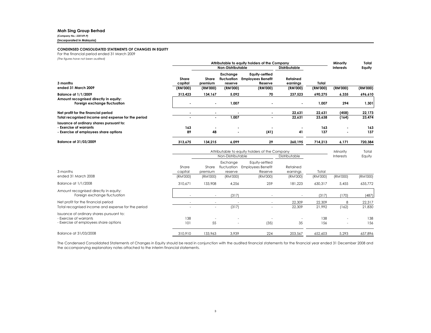#### Mah Sing Group Berhad

(Company No.: 230149-P)

(Incorporated in Malaysia)

#### CONDENSED CONSOLIDATED STATEMENTS OF CHANGES IN EQUITY

For the financial period ended 31 March 2009

(The figures have not been audited)

|                                                                     |                  | Attributable to equity holders of the Company |                                    |                                                       |                      |                  | Minority         | Total    |
|---------------------------------------------------------------------|------------------|-----------------------------------------------|------------------------------------|-------------------------------------------------------|----------------------|------------------|------------------|----------|
|                                                                     |                  |                                               | Non-Distributable                  |                                                       | <b>Distributable</b> |                  | <b>Interests</b> | Equity   |
| 3 months                                                            | Share<br>capital | Share<br>premium                              | Exchange<br>fluctuation<br>reserve | Equity-settled<br><b>Employees Benefit</b><br>Reserve | Retained<br>earnings | Total            |                  |          |
| ended 31 March 2009                                                 | (RM'000)         | (RM'000)                                      | (RM'000)                           | (RM'000)                                              | (RM'000)             | (RM'000)         | (RM'000)         | (RM'000) |
| <b>Balance at 1/1/2009</b><br>Amount recognised directly in equity: | 313,423          | 134,167                                       | 5,092                              | 70                                                    | 237,523              | 690,275          | 6,335            | 696,610  |
| Foreign exchange fluctuation                                        |                  |                                               | 1,007                              |                                                       | $\blacksquare$       | 1,007            | 294              | 1,301    |
| Net profit for the financial period                                 |                  | ٠                                             |                                    | $\blacksquare$                                        | 22,631               | 22,631           | (458)            | 22,173   |
| Total recognised income and expense for the period                  | ۰                | ٠                                             | 1,007                              | $\overline{\phantom{a}}$                              | 22,631               | 23,638           | (164)            | 23,474   |
| Issuance of ordinary shares pursuant to:<br>- Exercise of warrants  | 163              |                                               |                                    |                                                       |                      | 163              |                  | 163      |
| - Exercise of employees share options                               | 89               | 48                                            |                                    | (41)                                                  | 41                   | 137              |                  | 137      |
| Balance at 31/03/2009                                               | 313,675          | 134,215                                       | 6,099                              | 29                                                    | 260,195              | 714,213          | 6,171            | 720,384  |
|                                                                     |                  | Attributable to equity holders of the Company |                                    |                                                       |                      |                  | Minority         | Total    |
|                                                                     |                  | Non-Distributable<br>Distributable            |                                    |                                                       |                      | <b>Interests</b> | Equity           |          |
|                                                                     | Share            | Share                                         | Exchange<br>fluctuation            | Equity-settled<br><b>Employees Benefit</b>            | Retained             |                  |                  |          |
| 3 months                                                            | capital          | premium                                       | reserve                            | Reserve                                               | earnings             | Total            |                  |          |
| ended 31 March 2008                                                 | (RM'000)         | (RM'000)                                      | (RM'000)                           | (RM'000)                                              | (RM'000)             | (RM'000)         | (RM'000)         | (RM'000) |

| ,,,,,,,,,,, |                          | ,,,,,,,,,, | ,,,,,,,,,, | 111110001 | ,,,,,,,,,, | ,,,,,,,,,,               | ,,,,,,,,,, |
|-------------|--------------------------|------------|------------|-----------|------------|--------------------------|------------|
| 310.671     | 133,908                  | 4.256      | 259        | 181.223   | 630.317    | 5.455                    | 635,772    |
|             | $\overline{\phantom{a}}$ | (317)      |            |           | (317)      | (170)                    | (487)      |
|             |                          |            |            | 22,309    | 22,309     | 8                        | 22,317     |
|             | -                        | (317)      | -          | 22,309    | 21.992     | (162)                    | 21,830     |
|             |                          |            |            |           |            |                          |            |
| 138         | $\overline{\phantom{a}}$ |            |            |           | 138        |                          | 138        |
| 101         | 55                       | -          | (35)       | 35        | 156        | $\overline{\phantom{a}}$ | 156        |
| 310,910     | 133,963                  | 3,939      | 224        | 203,567   | 652,603    | 5,293                    | 657,896    |
|             |                          | ,,,,,,,,,, |            |           |            |                          |            |

The Condensed Consolidated Statements of Changes in Equity should be read in conjunction with the audited financial statements for the financial year ended <sup>31</sup> December <sup>2008</sup> and the accompanying explanatory notes attached to the interim financial statements.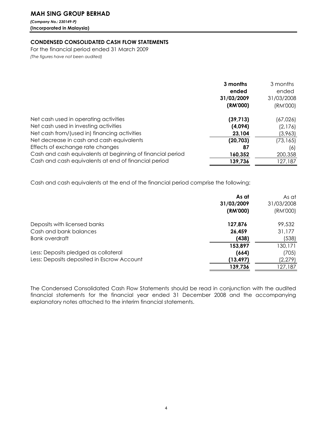## MAH SING GROUP BERHAD

(Company No.: 230149-P) (Incorporated in Malaysia)

### CONDENSED CONSOLIDATED CASH FLOW STATEMENTS

For the financial period ended 31 March 2009 (The figures have not been audited)

|                                                            | 3 months<br>ended<br>31/03/2009<br>(RM'000) | 3 months<br>ended<br>31/03/2008<br>(RM'000) |
|------------------------------------------------------------|---------------------------------------------|---------------------------------------------|
| Net cash used in operating activities                      | (39, 713)                                   | (67,026)                                    |
| Net cash used in investing activities                      | (4,094)                                     | (2,176)                                     |
| Net cash from/(used in) financing activities               | 23,104                                      | (3,963)                                     |
| Net decrease in cash and cash equivalents                  | (20, 703)                                   | (73, 165)                                   |
| Effects of exchange rate changes                           | 87                                          | (6)                                         |
| Cash and cash equivalents at beginning of financial period | 160,352                                     | 200,358                                     |
| Cash and cash equivalents at end of financial period       | 139,736                                     | 127,187                                     |

Cash and cash equivalents at the end of the financial period comprise the following:

| As at<br>31/03/2009 | As at<br>31/03/2008 |
|---------------------|---------------------|
| (RM'000)            | (RM'000)            |
| 127,876             | 99,532              |
| 26,459              | 31,177              |
| (438)               | (538)               |
| 153,897             | 130,171             |
| (664)               | (705)               |
| (13, 497)           | (2, 279)            |
| 139,736             | 127.187             |
|                     |                     |

The Condensed Consolidated Cash Flow Statements should be read in conjunction with the audited financial statements for the financial year ended 31 December 2008 and the accompanying explanatory notes attached to the interim financial statements.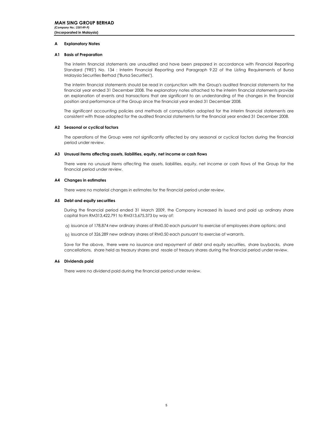#### A Explanatory Notes

#### A1 Basis of Preparation

The interim financial statements are unaudited and have been prepared in accordance with Financial Reporting Standard ("FRS") No. 134 : Interim Financial Reporting and Paragraph 9.22 of the Listing Requirements of Bursa Malaysia Securities Berhad ("Bursa Securities").

The interim financial statements should be read in conjunction with the Group's audited financial statements for the financial year ended 31 December 2008. The explanatory notes attached to the interim financial statements provide an explanation of events and transactions that are significant to an understanding of the changes in the financial position and performance of the Group since the financial year ended 31 December 2008.

The significant accounting policies and methods of computation adopted for the interim financial statements are consistent with those adopted for the audited financial statements for the financial year ended 31 December 2008.

#### A2 Seasonal or cyclical factors

The operations of the Group were not significantly affected by any seasonal or cyclical factors during the financial period under review.

#### A3 Unusual items affecting assets, liabilities, equity, net income or cash flows

There were no unusual items affecting the assets, liabilities, equity, net income or cash flows of the Group for the financial period under review.

#### A4 Changes in estimates

There were no material changes in estimates for the financial period under review.

#### A5 Debt and equity securities

During the financial period ended 31 March 2009, the Company increased its issued and paid up ordinary share capital from RM313,422,791 to RM313,675,373 by way of:

a) issuance of 178,874 new ordinary shares of RM0.50 each pursuant to exercise of employees share options; and

b) issuance of 326,289 new ordinary shares of RM0.50 each pursuant to exercise of warrants.

Save for the above, there were no issuance and repayment of debt and equity securities, share buybacks, share cancellations, share held as treasury shares and resale of treasury shares during the financial period under review.

#### A6 Dividends paid

There were no dividend paid during the financial period under review.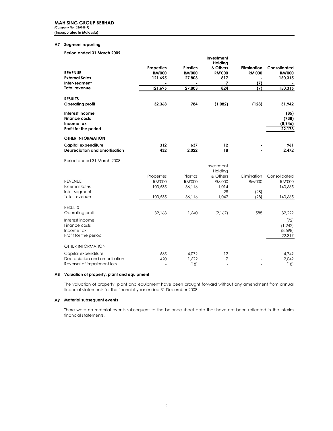#### A7 Segment reporting

#### Period ended 31 March 2009

|                                                                                |                |                 | Investment               |                    |                                    |
|--------------------------------------------------------------------------------|----------------|-----------------|--------------------------|--------------------|------------------------------------|
|                                                                                | Properties     | <b>Plastics</b> | Holding<br>& Others      | <b>Elimination</b> | Consolidated                       |
| <b>REVENUE</b>                                                                 | <b>RM'000</b>  | <b>RM'000</b>   | <b>RM'000</b>            | <b>RM'000</b>      | <b>RM'000</b>                      |
| <b>External Sales</b>                                                          | 121,695        | 27,803          | 817                      |                    | 150,315                            |
| Inter-segment                                                                  |                |                 | 7                        | (7)                |                                    |
| <b>Total revenue</b>                                                           | 121,695        | 27,803          | 824                      | (7)                | 150,315                            |
| <b>RESULTS</b>                                                                 |                |                 |                          |                    |                                    |
| <b>Operating profit</b>                                                        | 32,368         | 784             | (1,082)                  | (128)              | 31,942                             |
| Interest income<br><b>Finance costs</b><br>Income tax<br>Profit for the period |                |                 |                          |                    | (85)<br>(738)<br>(8,946)<br>22,173 |
| <b>OTHER INFORMATION</b>                                                       |                |                 |                          |                    |                                    |
| Capital expenditure<br>Depreciation and amortisation                           | 312<br>432     | 637<br>2,022    | 12<br>18                 |                    | 961<br>2,472                       |
| Period ended 31 March 2008                                                     |                |                 |                          |                    |                                    |
|                                                                                |                |                 | Investment<br>Holding    |                    |                                    |
|                                                                                | Properties     | Plastics        | & Others                 | Elimination        | Consolidated                       |
| <b>REVENUE</b>                                                                 | <b>RM'000</b>  | <b>RM'000</b>   | <b>RM'000</b>            | <b>RM'000</b>      | <b>RM'000</b>                      |
| <b>External Sales</b>                                                          | 103,535        | 36,116          | 1,014                    |                    | 140,665                            |
| Inter-segment                                                                  |                |                 | 28                       | (28)               |                                    |
| Total revenue                                                                  | 103,535        | 36,116          | 1,042                    | (28)               | 140,665                            |
| <b>RESULTS</b>                                                                 |                |                 |                          |                    |                                    |
| Operating profit                                                               | 32.168         | 1.640           | (2,167)                  | 588                | 32,229                             |
| Interest income                                                                |                |                 |                          |                    | (72)                               |
| Finance costs                                                                  |                |                 |                          |                    | (1, 242)                           |
| Income tax                                                                     |                |                 |                          |                    | (8,598)                            |
| Profit for the period                                                          |                |                 |                          |                    | 22,317                             |
| <b>OTHER INFORMATION</b>                                                       |                |                 |                          |                    |                                    |
| Capital expenditure                                                            | 665            | 4.072           | 12                       |                    | 4,749                              |
| Depreciation and amortisation                                                  | 420            | 1.622           | 7                        |                    | 2,049                              |
| Reversal of impairment loss                                                    | $\blacksquare$ | (18)            | $\overline{\phantom{a}}$ |                    | (18)                               |

#### A8 Valuation of property, plant and equipment

The valuation of property, plant and equipment have been brought forward without any amendment from annual financial statements for the financial year ended 31 December 2008.

#### A9 Material subsequent events

There were no material events subsequent to the balance sheet date that have not been reflected in the interim financial statements.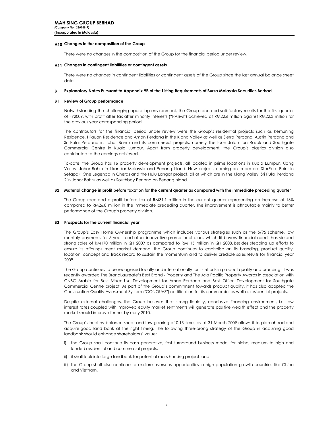### A10 Changes in the composition of the Group

There were no changes in the composition of the Group for the financial period under review.

#### A11 Changes in contingent liabilities or contingent assets

There were no changes in contingent liabilities or contingent assets of the Group since the last annual balance sheet date.

#### B Explanatory Notes Pursuant to Appendix 9B of the Listing Requirements of Bursa Malaysia Securities Berhad

#### B1 Review of Group performance

Notwithstanding the challenging operating environment, the Group recorded satisfactory results for the first quarter of FY2009, with profit after tax after minority interests ("PATMI") achieved at RM22.6 million against RM22.3 million for the previous year corresponding period.

The contributors for the financial period under review were the Group's residential projects such as Kemuning Residence, Hijauan Residence and Aman Perdana in the Klang Valley as well as Sierra Perdana, Austin Perdana and Sri Pulai Perdana in Johor Bahru and its commercial projects, namely The Icon Jalan Tun Razak and Southgate Commercial Centre in Kuala Lumpur. Apart from property development, the Group's plastics division also contributed to the earnings achieved.

To-date, the Group has 16 property development projects, all located in prime locations in Kuala Lumpur, Klang Valley, Johor Bahru in Iskandar Malaysia and Penang Island. New projects coming onstream are StarParc Point in Setapak, One Legenda in Cheras and the Hulu Langat project, all of which are in the Klang Valley, Sri Pulai Perdana 2 in Johor Bahru as well as Southbay Penang on Penang Island.

#### B2 Material change in profit before taxation for the current quarter as compared with the immediate preceding quarter

The Group recorded a profit before tax of RM31.1 million in the current quarter representing an increase of 16% compared to RM26.8 million in the immediate preceding quarter. The improvement is attributable mainly to better performance of the Group's property division.

#### B3 Prospects for the current financial year

The Group's Easy Home Ownership programme which includes various strategies such as the 5/95 scheme, low monthly payments for 5 years and other innovative promotional plans which fit buyers' financial needs has yielded strong sales of RM170 million in Q1 2009 as compared to RM115 million in Q1 2008. Besides stepping up efforts to ensure its offerings meet market demand, the Group continues to capitalise on its branding, product quality, location, concept and track record to sustain the momentum and to deliver credible sales results for financial year 2009.

The Group continues to be recognised locally and internationally for its efforts in product quality and branding. It was recently awarded The BrandLaureate's Best Brand - Property and The Asia Pacific Property Awards in association with CNBC Arabia for Best Mixed-Use Development for Aman Perdana and Best Office Development for Southgate Commercial Centre project. As part of the Group's commitment towards product quality, it has also adopted the Construction Quality Assessment System ("CONQUAS") certification for its commercial as well as residential projects.

Despite external challenges, the Group believes that strong liquidity, condusive financing environment, i.e. low interest rates coupled with improved equity market sentiments will generate positive wealth effect and the property market should improve further by early 2010.

The Group's healthy balance sheet and low gearing of 0.13 times as at 31 March 2009 allows it to plan ahead and acquire good land bank at the right timing. The following three-prong strategy of the Group in acquiring good landbank should enhance shareholders' value:

- i) the Group shall continue its cash generative, fast turnaround business model for niche, medium to high end landed residential and commercial projects;
- ii) it shall look into large landbank for potential mass housing project; and
- iii) the Group shall also continue to explore overseas opportunities in high population growth countries like China and Vietnam.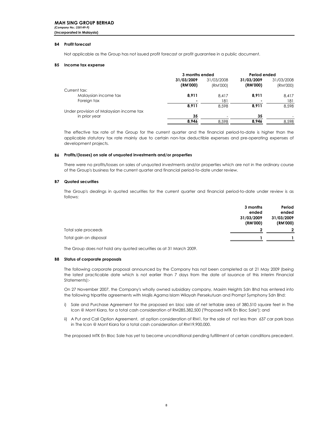#### B4 Profit forecast

Not applicable as the Group has not issued profit forecast or profit guarantee in a public document.

#### B5 Income tax expense

|                                         | 3 months ended                         |          | Period ended |          |  |  |            |  |
|-----------------------------------------|----------------------------------------|----------|--------------|----------|--|--|------------|--|
|                                         | 31/03/2009<br>31/03/2008<br>31/03/2009 |          |              |          |  |  | 31/03/2008 |  |
|                                         | (RM'000)                               | (RM'000) | (RM'000)     | (RM'000) |  |  |            |  |
| Current tax:                            |                                        |          |              |          |  |  |            |  |
| Malaysian income tax                    | 8,911                                  | 8.417    | 8.911        | 8,417    |  |  |            |  |
| Foreign tax                             |                                        | 181      |              | 181      |  |  |            |  |
|                                         | 8.911                                  | 8.598    | 8.911        | 8.598    |  |  |            |  |
| Under provision of Malaysian income tax |                                        |          |              |          |  |  |            |  |
| in prior year                           | 35                                     |          | 35           |          |  |  |            |  |
|                                         | 8.946                                  | 8.598    | 8.946        | 8.598    |  |  |            |  |

The effective tax rate of the Group for the current quarter and the financial period-to-date is higher than the applicable statutory tax rate mainly due to certain non-tax deductible expenses and pre-operating expenses of development projects.

#### B6 Profits/(losses) on sale of unquoted investments and/or properties

There were no profits/losses on sales of unquoted investments and/or properties which are not in the ordinary course of the Group's business for the current quarter and financial period-to-date under review.

#### B7 Quoted securities

The Group's dealings in quoted securities for the current quarter and financial period-to-date under review is as follows:

|                        | 3 months   | Period         |
|------------------------|------------|----------------|
|                        | ended      | ended          |
|                        | 31/03/2009 | 31/03/2009     |
|                        | (RM'000)   | (RM'000)       |
| Total sale proceeds    | າ          | $\overline{2}$ |
| Total gain on disposal |            |                |

The Group does not hold any quoted securities as at 31 March 2009.

#### B8 Status of corporate proposals

The following corporate proposal announced by the Company has not been completed as at 21 May 2009 (being the latest practicable date which is not earlier than 7 days from the date of issuance of this Interim Financial Statements):-

On 27 November 2007, the Company's wholly owned subsidiary company, Maxim Heights Sdn Bhd has entered into the following tripartite agreements with Majlis Agama Islam Wilayah Persekutuan and Prompt Symphony Sdn Bhd:

- i) Sale and Purchase Agreement for the proposed en bloc sale of net lettable area of 380,510 square feet in The Icon @ Mont Kiara, for a total cash consideration of RM285,382,500 ("Proposed MTK En Bloc Sale"); and
- ii) A Put and Call Option Agreement, at option consideration of RM1, for the sale of not less than 637 car park bays in The Icon @ Mont Kiara for a total cash consideration of RM19,900,000.

The proposed MTK En Bloc Sale has yet to become unconditional pending fulfillment of certain conditions precedent.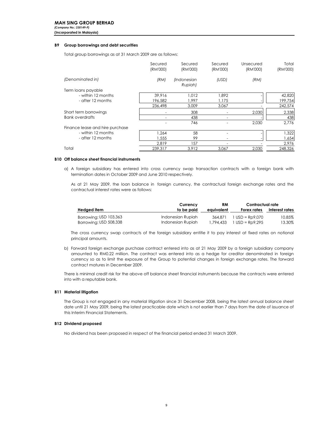#### B9 Group borrowings and debt securities

Total group borrowings as at 31 March 2009 are as follows:

|                                 | Secured<br>(RM'000) | Secured<br>(RM'000)    | Secured<br>(RM'000) | Unsecured<br>(RM'000) | Total<br>(RM'000) |
|---------------------------------|---------------------|------------------------|---------------------|-----------------------|-------------------|
| (Denominated in)                | (RM)                | (Indonesian<br>Rupiah) | (USD)               | (RM)                  |                   |
| Term loans payable              |                     |                        |                     |                       |                   |
| - within 12 months              | 39.916              | 1.012                  | 1.892               |                       | 42,820            |
| - after 12 months               | 196,582             | 1.997                  | 1.175               |                       | 199,754           |
|                                 | 236,498             | 3.009                  | 3,067               |                       | 242,574           |
| Short term borrowings           |                     | 308                    |                     | 2,030                 | 2,338             |
| <b>Bank overdrafts</b>          |                     | 438                    |                     |                       | 438               |
|                                 |                     | 746                    |                     | 2,030                 | 2.776             |
| Finance lease and hire purchase |                     |                        |                     |                       |                   |
| - within 12 months              | .264                | 58                     |                     |                       | 1,322             |
| - after 12 months               | .555                | 99                     |                     |                       | 1,654             |
|                                 | 2.819               | 157                    |                     |                       | 2,976             |
| Total                           | 239.317             | 3.912                  | 3.067               | 2.030                 | 248,326           |

#### B10 Off balance sheet financial instruments

a) A foreign subsidiary has entered into cross currency swap transaction contracts with a foreign bank with termination dates in October 2009 and June 2010 respectively.

As at 21 May 2009, the loan balance in foreign currency, the contractual foreign exchange rates and the contractual interest rates were as follows:

|                          | Currency          | RM         | Contractual rate  |                |
|--------------------------|-------------------|------------|-------------------|----------------|
| Hedged i <del>l</del> em | to be paid        | eauivalent | Forex rates       | Interest rates |
| Borrowing: USD 103,363   | Indonesian Rupiah | 364.871    | $1$ USD = Rp9.070 | 10.85%         |
| Borrowing: USD 508,338   | Indonesian Rupiah | 1,794,433  | $USD = Rp9,295$   | 13.30%         |

The cross currency swap contracts of the foreign subsidiary entitle it to pay interest at fixed rates on notional principal amounts.

b) Forward foreign exchange purchase contract entered into as at 21 May 2009 by a foreign subsidiary company amounted to RM0.22 million. The contract was entered into as a hedge for creditor denominated in foreign currency so as to limit the exposure of the Group to potential changes in foreign exchange rates. The forward contract matures in December 2009.

There is minimal credit risk for the above off balance sheet financial instruments because the contracts were entered into with a reputable bank.

#### B11 Material litigation

The Group is not engaged in any material litigation since 31 December 2008, being the latest annual balance sheet date until 21 May 2009, being the latest practicable date which is not earlier than 7 days from the date of issuance of this Interim Financial Statements.

#### B12 Dividend proposed

No dividend has been proposed in respect of the financial period ended 31 March 2009.